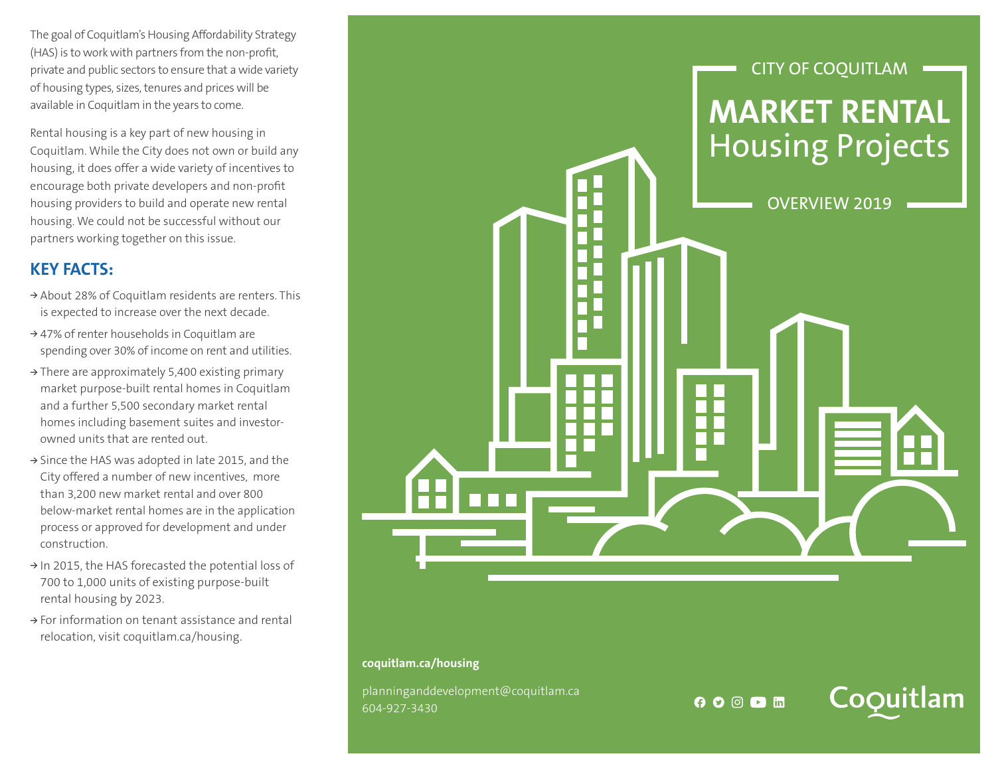The goal of Coquitlam's Housing Affordability Strategy (HAS) is to work with partners from the non-profit, private and public sectors to ensure that a wide variety of housing types, sizes, tenures and prices will be available in Coquitlam in the years to come.

Rental housing is a key part of new housing in Coquitlam. While the City does not own or build any housing, it does offer a wide variety of incentives to encourage both private developers and non-profit housing providers to build and operate new rental housing. We could not be successful without our partners working together on this issue.

## **KEY FACTS:**

- **<sup>&</sup>gt;** About 28% of Coquitlam residents are renters. This is expected to increase over the next decade.
- **<sup>&</sup>gt;** 47% of renter households in Coquitlam are spending over 30% of income on rent and utilities.
- **<sup>&</sup>gt;** There are approximately 5,400 existing primary market purpose-built rental homes in Coquitlam and a further 5,500 secondary market rental homes including basement suites and investorowned units that are rented out.
- **<sup>&</sup>gt;** Since the HAS was adopted in late 2015, and the City offered a number of new incentives, more than 3,200 new market rental and over 800 below-market rental homes are in the application process or approved for development and under construction.
- **<sup>&</sup>gt;** In 2015, the HAS forecasted the potential loss of 700 to 1,000 units of existing purpose-built rental housing by 2023.
- **<sup>&</sup>gt;** For information on tenant assistance and rental relocation, visit coquitlam.ca/housing.



## **coquitlam.ca/housing**

planninganddevelopment@coquitlam.ca 604-927-3430

**OODM** 

Coquitlam